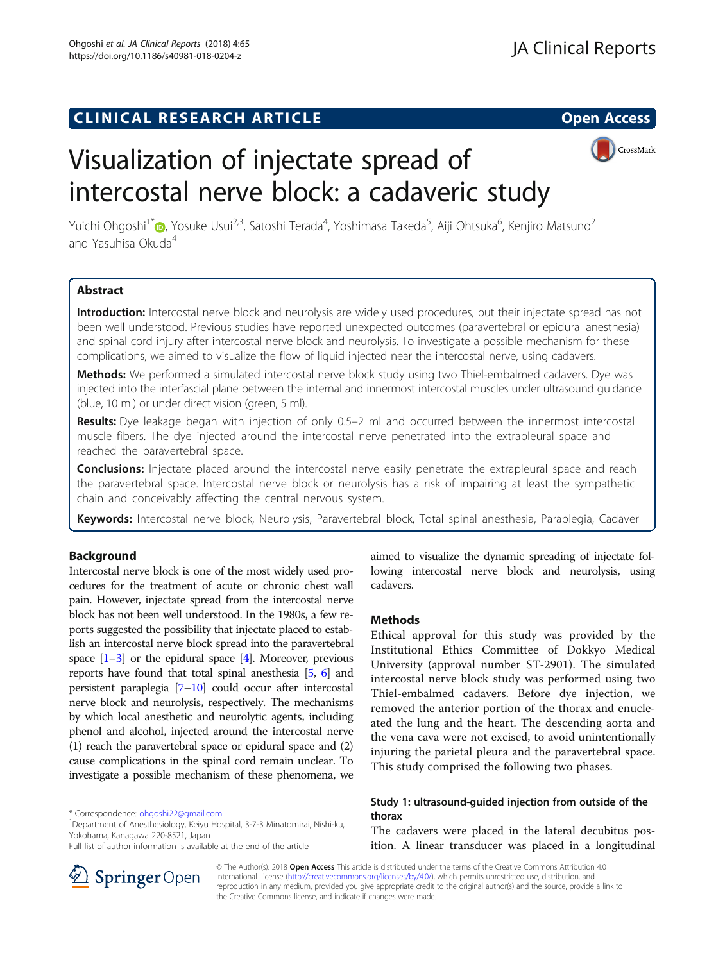## **CLINICAL RESEARCH ARTICLE CLINICAL RESEARCH ARTICLE**



# Visualization of injectate spread of intercostal nerve block: a cadaveric study

Yuichi Ohgoshi<sup>1\*</sup>®[,](http://orcid.org/0000-0002-1164-7956) Yosuke Usui<sup>2,3</sup>, Satoshi Terada<sup>4</sup>, Yoshimasa Takeda<sup>5</sup>, Aiji Ohtsuka<sup>6</sup>, Kenjiro Matsuno<sup>2</sup> and Yasuhisa Okuda<sup>4</sup>

## Abstract

Introduction: Intercostal nerve block and neurolysis are widely used procedures, but their injectate spread has not been well understood. Previous studies have reported unexpected outcomes (paravertebral or epidural anesthesia) and spinal cord injury after intercostal nerve block and neurolysis. To investigate a possible mechanism for these complications, we aimed to visualize the flow of liquid injected near the intercostal nerve, using cadavers.

Methods: We performed a simulated intercostal nerve block study using two Thiel-embalmed cadavers. Dye was injected into the interfascial plane between the internal and innermost intercostal muscles under ultrasound guidance (blue, 10 ml) or under direct vision (green, 5 ml).

Results: Dye leakage began with injection of only 0.5–2 ml and occurred between the innermost intercostal muscle fibers. The dye injected around the intercostal nerve penetrated into the extrapleural space and reached the paravertebral space.

**Conclusions:** Injectate placed around the intercostal nerve easily penetrate the extrapleural space and reach the paravertebral space. Intercostal nerve block or neurolysis has a risk of impairing at least the sympathetic chain and conceivably affecting the central nervous system.

Keywords: Intercostal nerve block, Neurolysis, Paravertebral block, Total spinal anesthesia, Paraplegia, Cadaver

## Background

Intercostal nerve block is one of the most widely used procedures for the treatment of acute or chronic chest wall pain. However, injectate spread from the intercostal nerve block has not been well understood. In the 1980s, a few reports suggested the possibility that injectate placed to establish an intercostal nerve block spread into the paravertebral space  $[1-3]$  $[1-3]$  $[1-3]$  $[1-3]$  or the epidural space  $[4]$  $[4]$ . Moreover, previous reports have found that total spinal anesthesia [\[5,](#page-3-0) [6\]](#page-3-0) and persistent paraplegia [[7](#page-3-0)–[10](#page-3-0)] could occur after intercostal nerve block and neurolysis, respectively. The mechanisms by which local anesthetic and neurolytic agents, including phenol and alcohol, injected around the intercostal nerve (1) reach the paravertebral space or epidural space and (2) cause complications in the spinal cord remain unclear. To investigate a possible mechanism of these phenomena, we

\* Correspondence: [ohgoshi22@gmail.com](mailto:ohgoshi22@gmail.com) <sup>1</sup>

<sup>1</sup>Department of Anesthesiology, Keiyu Hospital, 3-7-3 Minatomirai, Nishi-ku, Yokohama, Kanagawa 220-8521, Japan



## Methods

Ethical approval for this study was provided by the Institutional Ethics Committee of Dokkyo Medical University (approval number ST-2901). The simulated intercostal nerve block study was performed using two Thiel-embalmed cadavers. Before dye injection, we removed the anterior portion of the thorax and enucleated the lung and the heart. The descending aorta and the vena cava were not excised, to avoid unintentionally injuring the parietal pleura and the paravertebral space. This study comprised the following two phases.

## Study 1: ultrasound-guided injection from outside of the thorax

The cadavers were placed in the lateral decubitus position. A linear transducer was placed in a longitudinal



© The Author(s). 2018 Open Access This article is distributed under the terms of the Creative Commons Attribution 4.0 International License ([http://creativecommons.org/licenses/by/4.0/\)](http://creativecommons.org/licenses/by/4.0/), which permits unrestricted use, distribution, and reproduction in any medium, provided you give appropriate credit to the original author(s) and the source, provide a link to the Creative Commons license, and indicate if changes were made.

Full list of author information is available at the end of the article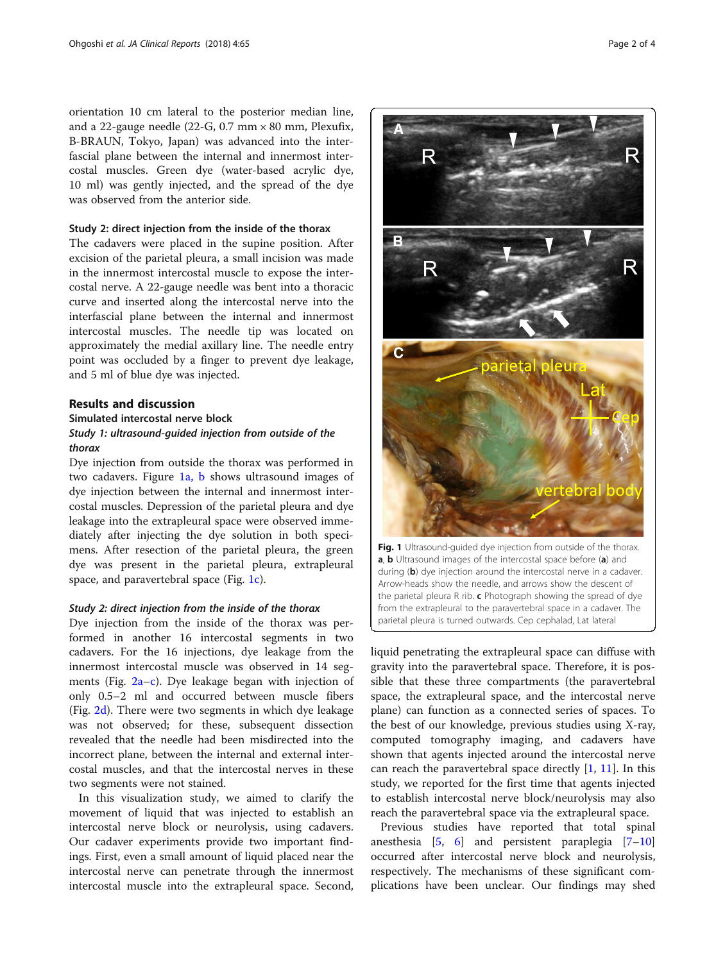orientation 10 cm lateral to the posterior median line, and a 22-gauge needle (22-G,  $0.7 \text{ mm} \times 80 \text{ mm}$ , Plexufix, B-BRAUN, Tokyo, Japan) was advanced into the interfascial plane between the internal and innermost intercostal muscles. Green dye (water-based acrylic dye, 10 ml) was gently injected, and the spread of the dye was observed from the anterior side.

## Study 2: direct injection from the inside of the thorax

The cadavers were placed in the supine position. After excision of the parietal pleura, a small incision was made in the innermost intercostal muscle to expose the intercostal nerve. A 22-gauge needle was bent into a thoracic curve and inserted along the intercostal nerve into the interfascial plane between the internal and innermost intercostal muscles. The needle tip was located on approximately the medial axillary line. The needle entry point was occluded by a finger to prevent dye leakage, and 5 ml of blue dye was injected.

## Results and discussion

## Simulated intercostal nerve block Study 1: ultrasound-guided injection from outside of the thorax

Dye injection from outside the thorax was performed in two cadavers. Figure 1a, b shows ultrasound images of dye injection between the internal and innermost intercostal muscles. Depression of the parietal pleura and dye leakage into the extrapleural space were observed immediately after injecting the dye solution in both specimens. After resection of the parietal pleura, the green dye was present in the parietal pleura, extrapleural space, and paravertebral space (Fig. 1c).

#### Study 2: direct injection from the inside of the thorax

Dye injection from the inside of the thorax was performed in another 16 intercostal segments in two cadavers. For the 16 injections, dye leakage from the innermost intercostal muscle was observed in 14 segments (Fig. [2a](#page-2-0)–[c\)](#page-2-0). Dye leakage began with injection of only 0.5–2 ml and occurred between muscle fibers (Fig. [2d\)](#page-2-0). There were two segments in which dye leakage was not observed; for these, subsequent dissection revealed that the needle had been misdirected into the incorrect plane, between the internal and external intercostal muscles, and that the intercostal nerves in these two segments were not stained.

In this visualization study, we aimed to clarify the movement of liquid that was injected to establish an intercostal nerve block or neurolysis, using cadavers. Our cadaver experiments provide two important findings. First, even a small amount of liquid placed near the intercostal nerve can penetrate through the innermost intercostal muscle into the extrapleural space. Second,



a, **b** Ultrasound images of the intercostal space before (a) and during (b) dye injection around the intercostal nerve in a cadaver. Arrow-heads show the needle, and arrows show the descent of the parietal pleura R rib.  $c$  Photograph showing the spread of dye from the extrapleural to the paravertebral space in a cadaver. The parietal pleura is turned outwards. Cep cephalad, Lat lateral

liquid penetrating the extrapleural space can diffuse with gravity into the paravertebral space. Therefore, it is possible that these three compartments (the paravertebral space, the extrapleural space, and the intercostal nerve plane) can function as a connected series of spaces. To the best of our knowledge, previous studies using X-ray, computed tomography imaging, and cadavers have shown that agents injected around the intercostal nerve can reach the paravertebral space directly  $[1, 11]$  $[1, 11]$  $[1, 11]$  $[1, 11]$  $[1, 11]$ . In this study, we reported for the first time that agents injected to establish intercostal nerve block/neurolysis may also reach the paravertebral space via the extrapleural space.

Previous studies have reported that total spinal anesthesia  $[5, 6]$  $[5, 6]$  $[5, 6]$  $[5, 6]$  $[5, 6]$  and persistent paraplegia  $[7-10]$  $[7-10]$  $[7-10]$  $[7-10]$  $[7-10]$ occurred after intercostal nerve block and neurolysis, respectively. The mechanisms of these significant complications have been unclear. Our findings may shed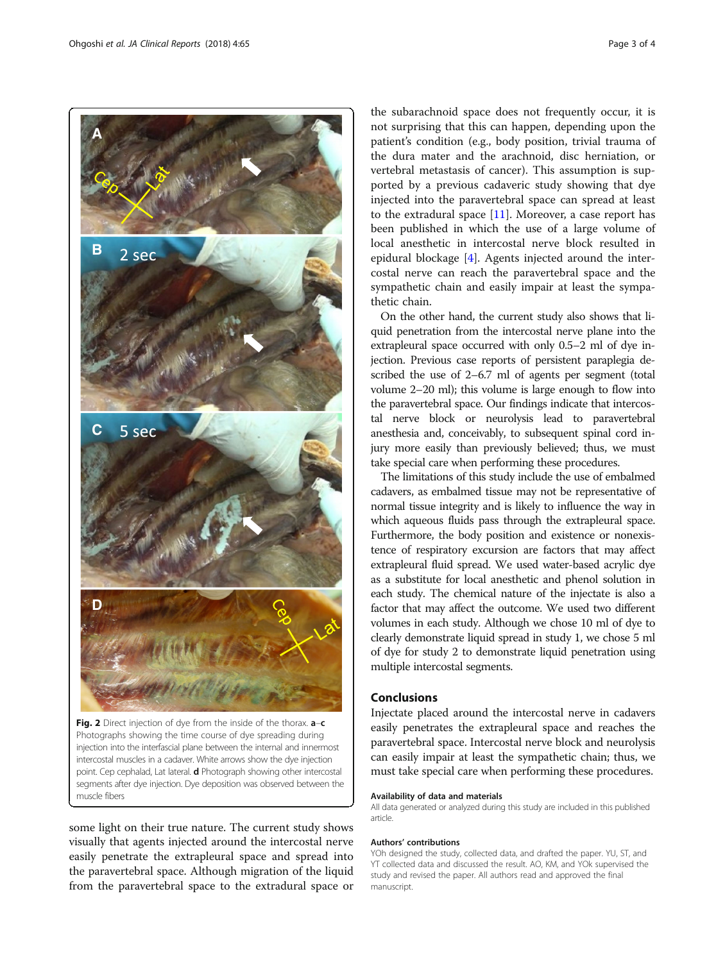<span id="page-2-0"></span>

Photographs showing the time course of dye spreading during injection into the interfascial plane between the internal and innermost intercostal muscles in a cadaver. White arrows show the dye injection point. Cep cephalad, Lat lateral. **d** Photograph showing other intercostal segments after dye injection. Dye deposition was observed between the muscle fibers

some light on their true nature. The current study shows visually that agents injected around the intercostal nerve easily penetrate the extrapleural space and spread into the paravertebral space. Although migration of the liquid from the paravertebral space to the extradural space or

the subarachnoid space does not frequently occur, it is not surprising that this can happen, depending upon the patient's condition (e.g., body position, trivial trauma of the dura mater and the arachnoid, disc herniation, or vertebral metastasis of cancer). This assumption is supported by a previous cadaveric study showing that dye injected into the paravertebral space can spread at least to the extradural space  $[11]$  $[11]$ . Moreover, a case report has been published in which the use of a large volume of local anesthetic in intercostal nerve block resulted in epidural blockage [\[4](#page-3-0)]. Agents injected around the intercostal nerve can reach the paravertebral space and the sympathetic chain and easily impair at least the sympathetic chain.

On the other hand, the current study also shows that liquid penetration from the intercostal nerve plane into the extrapleural space occurred with only 0.5–2 ml of dye injection. Previous case reports of persistent paraplegia described the use of 2–6.7 ml of agents per segment (total volume 2–20 ml); this volume is large enough to flow into the paravertebral space. Our findings indicate that intercostal nerve block or neurolysis lead to paravertebral anesthesia and, conceivably, to subsequent spinal cord injury more easily than previously believed; thus, we must take special care when performing these procedures.

The limitations of this study include the use of embalmed cadavers, as embalmed tissue may not be representative of normal tissue integrity and is likely to influence the way in which aqueous fluids pass through the extrapleural space. Furthermore, the body position and existence or nonexistence of respiratory excursion are factors that may affect extrapleural fluid spread. We used water-based acrylic dye as a substitute for local anesthetic and phenol solution in each study. The chemical nature of the injectate is also a factor that may affect the outcome. We used two different volumes in each study. Although we chose 10 ml of dye to clearly demonstrate liquid spread in study 1, we chose 5 ml of dye for study 2 to demonstrate liquid penetration using multiple intercostal segments.

## Conclusions

Injectate placed around the intercostal nerve in cadavers easily penetrates the extrapleural space and reaches the paravertebral space. Intercostal nerve block and neurolysis can easily impair at least the sympathetic chain; thus, we must take special care when performing these procedures.

#### Availability of data and materials

All data generated or analyzed during this study are included in this published article.

#### Authors' contributions

YOh designed the study, collected data, and drafted the paper. YU, ST, and YT collected data and discussed the result. AO, KM, and YOk supervised the study and revised the paper. All authors read and approved the final manuscript.